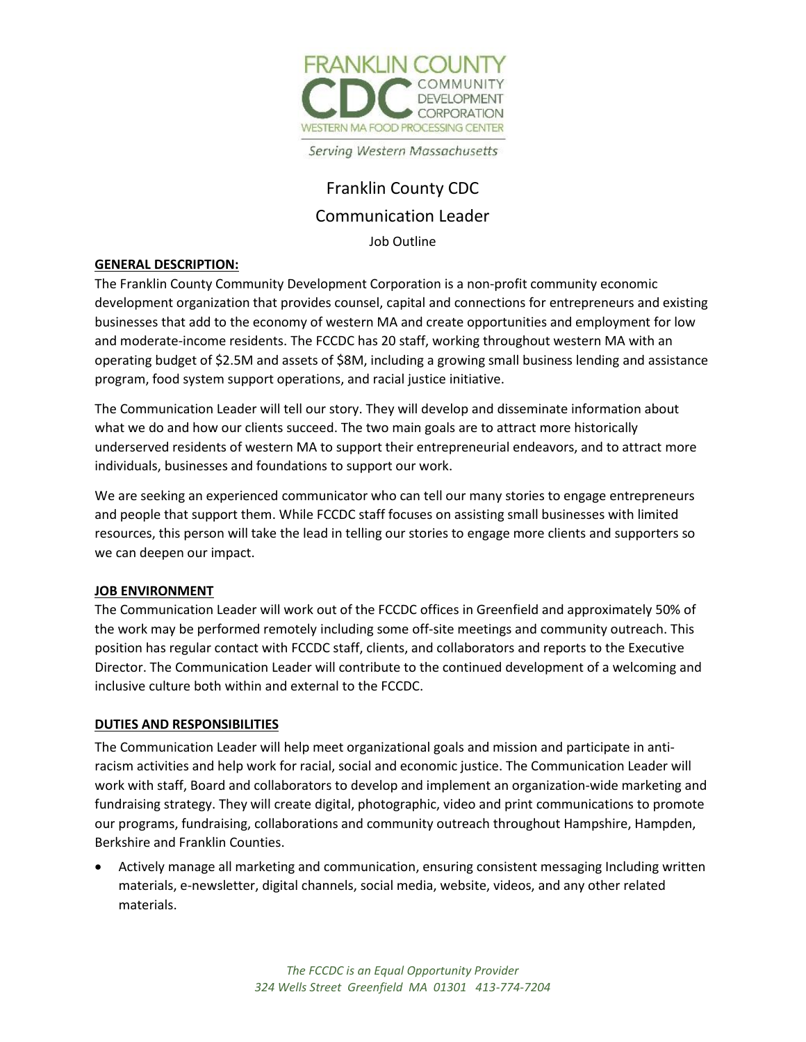

Serving Western Massachusetts

# Franklin County CDC Communication Leader

Job Outline

### **GENERAL DESCRIPTION:**

The Franklin County Community Development Corporation is a non-profit community economic development organization that provides counsel, capital and connections for entrepreneurs and existing businesses that add to the economy of western MA and create opportunities and employment for low and moderate-income residents. The FCCDC has 20 staff, working throughout western MA with an operating budget of \$2.5M and assets of \$8M, including a growing small business lending and assistance program, food system support operations, and racial justice initiative.

The Communication Leader will tell our story. They will develop and disseminate information about what we do and how our clients succeed. The two main goals are to attract more historically underserved residents of western MA to support their entrepreneurial endeavors, and to attract more individuals, businesses and foundations to support our work.

We are seeking an experienced communicator who can tell our many stories to engage entrepreneurs and people that support them. While FCCDC staff focuses on assisting small businesses with limited resources, this person will take the lead in telling our stories to engage more clients and supporters so we can deepen our impact.

#### **JOB ENVIRONMENT**

The Communication Leader will work out of the FCCDC offices in Greenfield and approximately 50% of the work may be performed remotely including some off-site meetings and community outreach. This position has regular contact with FCCDC staff, clients, and collaborators and reports to the Executive Director. The Communication Leader will contribute to the continued development of a welcoming and inclusive culture both within and external to the FCCDC.

#### **DUTIES AND RESPONSIBILITIES**

The Communication Leader will help meet organizational goals and mission and participate in antiracism activities and help work for racial, social and economic justice. The Communication Leader will work with staff, Board and collaborators to develop and implement an organization-wide marketing and fundraising strategy. They will create digital, photographic, video and print communications to promote our programs, fundraising, collaborations and community outreach throughout Hampshire, Hampden, Berkshire and Franklin Counties.

• Actively manage all marketing and communication, ensuring consistent messaging Including written materials, e-newsletter, digital channels, social media, website, videos, and any other related materials.